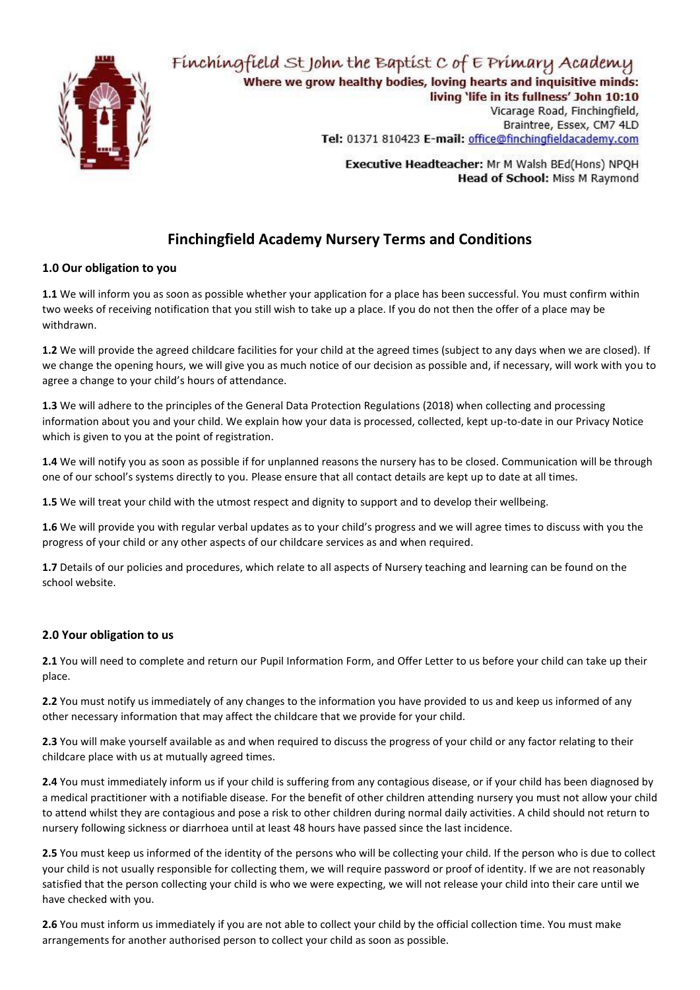

Finchingfield St John the Baptist C of E Primary Academy Where we grow healthy bodies, loving hearts and inquisitive minds: living 'life in its fullness' John 10:10 Vicarage Road, Finchingfield, Braintree, Essex, CM7 4LD Tel: 01371 810423 E-mail: office@finchingfieldacademy.com

> Executive Headteacher: Mr M Walsh BEd(Hons) NPQH **Head of School: Miss M Raymond**

# **Finchingfield Academy Nursery Terms and Conditions**

## **1.0 Our obligation to you**

**1.1** We will inform you as soon as possible whether your application for a place has been successful. You must confirm within two weeks of receiving notification that you still wish to take up a place. If you do not then the offer of a place may be withdrawn.

**1.2** We will provide the agreed childcare facilities for your child at the agreed times (subject to any days when we are closed). If we change the opening hours, we will give you as much notice of our decision as possible and, if necessary, will work with you to agree a change to your child's hours of attendance.

**1.3** We will adhere to the principles of the General Data Protection Regulations (2018) when collecting and processing information about you and your child. We explain how your data is processed, collected, kept up-to-date in our Privacy Notice which is given to you at the point of registration.

**1.4** We will notify you as soon as possible if for unplanned reasons the nursery has to be closed. Communication will be through one of our school's systems directly to you. Please ensure that all contact details are kept up to date at all times.

**1.5** We will treat your child with the utmost respect and dignity to support and to develop their wellbeing.

**1.6** We will provide you with regular verbal updates as to your child's progress and we will agree times to discuss with you the progress of your child or any other aspects of our childcare services as and when required.

**1.7** Details of our policies and procedures, which relate to all aspects of Nursery teaching and learning can be found on the school website.

## **2.0 Your obligation to us**

**2.1** You will need to complete and return our Pupil Information Form, and Offer Letter to us before your child can take up their place.

**2.2** You must notify us immediately of any changes to the information you have provided to us and keep us informed of any other necessary information that may affect the childcare that we provide for your child.

**2.3** You will make yourself available as and when required to discuss the progress of your child or any factor relating to their childcare place with us at mutually agreed times.

**2.4** You must immediately inform us if your child is suffering from any contagious disease, or if your child has been diagnosed by a medical practitioner with a notifiable disease. For the benefit of other children attending nursery you must not allow your child to attend whilst they are contagious and pose a risk to other children during normal daily activities. A child should not return to nursery following sickness or diarrhoea until at least 48 hours have passed since the last incidence.

**2.5** You must keep us informed of the identity of the persons who will be collecting your child. If the person who is due to collect your child is not usually responsible for collecting them, we will require password or proof of identity. If we are not reasonably satisfied that the person collecting your child is who we were expecting, we will not release your child into their care until we have checked with you.

**2.6** You must inform us immediately if you are not able to collect your child by the official collection time. You must make arrangements for another authorised person to collect your child as soon as possible.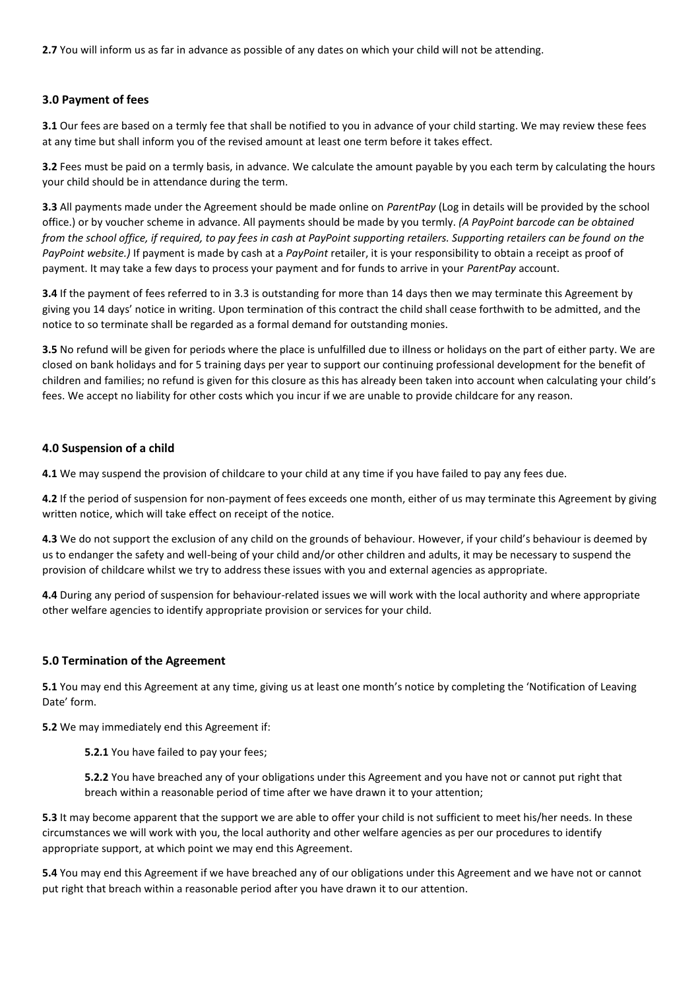**2.7** You will inform us as far in advance as possible of any dates on which your child will not be attending.

#### **3.0 Payment of fees**

**3.1** Our fees are based on a termly fee that shall be notified to you in advance of your child starting. We may review these fees at any time but shall inform you of the revised amount at least one term before it takes effect.

**3.2** Fees must be paid on a termly basis, in advance. We calculate the amount payable by you each term by calculating the hours your child should be in attendance during the term.

**3.3** All payments made under the Agreement should be made online on *ParentPay* (Log in details will be provided by the school office.) or by voucher scheme in advance. All payments should be made by you termly. *(A PayPoint barcode can be obtained from the school office, if required, to pay fees in cash at PayPoint supporting retailers. Supporting retailers can be found on the PayPoint website.)* If payment is made by cash at a *PayPoint* retailer, it is your responsibility to obtain a receipt as proof of payment. It may take a few days to process your payment and for funds to arrive in your *ParentPay* account.

**3.4** If the payment of fees referred to in 3.3 is outstanding for more than 14 days then we may terminate this Agreement by giving you 14 days' notice in writing. Upon termination of this contract the child shall cease forthwith to be admitted, and the notice to so terminate shall be regarded as a formal demand for outstanding monies.

**3.5** No refund will be given for periods where the place is unfulfilled due to illness or holidays on the part of either party. We are closed on bank holidays and for 5 training days per year to support our continuing professional development for the benefit of children and families; no refund is given for this closure as this has already been taken into account when calculating your child's fees. We accept no liability for other costs which you incur if we are unable to provide childcare for any reason.

#### **4.0 Suspension of a child**

**4.1** We may suspend the provision of childcare to your child at any time if you have failed to pay any fees due.

**4.2** If the period of suspension for non-payment of fees exceeds one month, either of us may terminate this Agreement by giving written notice, which will take effect on receipt of the notice.

**4.3** We do not support the exclusion of any child on the grounds of behaviour. However, if your child's behaviour is deemed by us to endanger the safety and well-being of your child and/or other children and adults, it may be necessary to suspend the provision of childcare whilst we try to address these issues with you and external agencies as appropriate.

**4.4** During any period of suspension for behaviour-related issues we will work with the local authority and where appropriate other welfare agencies to identify appropriate provision or services for your child.

## **5.0 Termination of the Agreement**

**5.1** You may end this Agreement at any time, giving us at least one month's notice by completing the 'Notification of Leaving Date' form.

**5.2** We may immediately end this Agreement if:

**5.2.1** You have failed to pay your fees;

**5.2.2** You have breached any of your obligations under this Agreement and you have not or cannot put right that breach within a reasonable period of time after we have drawn it to your attention;

**5.3** It may become apparent that the support we are able to offer your child is not sufficient to meet his/her needs. In these circumstances we will work with you, the local authority and other welfare agencies as per our procedures to identify appropriate support, at which point we may end this Agreement.

**5.4** You may end this Agreement if we have breached any of our obligations under this Agreement and we have not or cannot put right that breach within a reasonable period after you have drawn it to our attention.